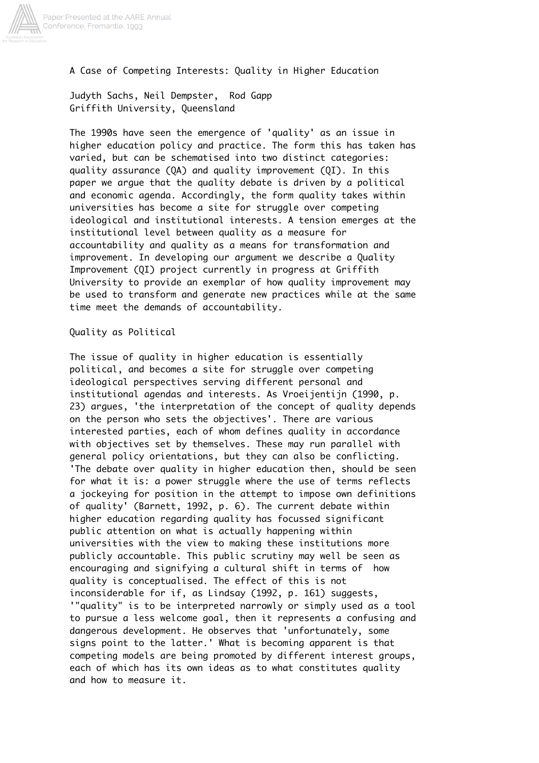

A Case of Competing Interests: Quality in Higher Education

Judyth Sachs, Neil Dempster, Rod Gapp Griffith University, Queensland

The 1990s have seen the emergence of 'quality' as an issue in higher education policy and practice. The form this has taken has varied, but can be schematised into two distinct categories: quality assurance (QA) and quality improvement (QI). In this paper we argue that the quality debate is driven by a political and economic agenda. Accordingly, the form quality takes within universities has become a site for struggle over competing ideological and institutional interests. A tension emerges at the institutional level between quality as a measure for accountability and quality as a means for transformation and improvement. In developing our argument we describe a Quality Improvement (QI) project currently in progress at Griffith University to provide an exemplar of how quality improvement may be used to transform and generate new practices while at the same time meet the demands of accountability.

Quality as Political

The issue of quality in higher education is essentially political, and becomes a site for struggle over competing ideological perspectives serving different personal and institutional agendas and interests. As Vroeijentijn (1990, p. 23) argues, 'the interpretation of the concept of quality depends on the person who sets the objectives'. There are various interested parties, each of whom defines quality in accordance with objectives set by themselves. These may run parallel with general policy orientations, but they can also be conflicting. 'The debate over quality in higher education then, should be seen for what it is: a power struggle where the use of terms reflects a jockeying for position in the attempt to impose own definitions of quality' (Barnett, 1992, p. 6). The current debate within higher education regarding quality has focussed significant public attention on what is actually happening within universities with the view to making these institutions more publicly accountable. This public scrutiny may well be seen as encouraging and signifying a cultural shift in terms of how quality is conceptualised. The effect of this is not inconsiderable for if, as Lindsay (1992, p. 161) suggests, '"quality" is to be interpreted narrowly or simply used as a tool to pursue a less welcome goal, then it represents a confusing and dangerous development. He observes that 'unfortunately, some signs point to the latter.' What is becoming apparent is that competing models are being promoted by different interest groups, each of which has its own ideas as to what constitutes quality and how to measure it.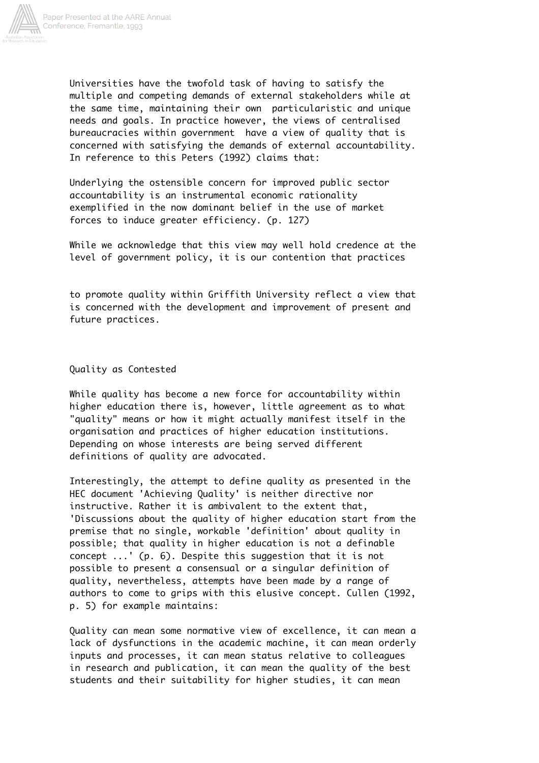

Universities have the twofold task of having to satisfy the multiple and competing demands of external stakeholders while at the same time, maintaining their own particularistic and unique needs and goals. In practice however, the views of centralised bureaucracies within government have a view of quality that is concerned with satisfying the demands of external accountability. In reference to this Peters (1992) claims that:

Underlying the ostensible concern for improved public sector accountability is an instrumental economic rationality exemplified in the now dominant belief in the use of market forces to induce greater efficiency. (p. 127)

While we acknowledge that this view may well hold credence at the level of government policy, it is our contention that practices

to promote quality within Griffith University reflect a view that is concerned with the development and improvement of present and future practices.

Quality as Contested

While quality has become a new force for accountability within higher education there is, however, little agreement as to what "quality" means or how it might actually manifest itself in the organisation and practices of higher education institutions. Depending on whose interests are being served different definitions of quality are advocated.

Interestingly, the attempt to define quality as presented in the HEC document 'Achieving Quality' is neither directive nor instructive. Rather it is ambivalent to the extent that, 'Discussions about the quality of higher education start from the premise that no single, workable 'definition' about quality in possible; that quality in higher education is not a definable concept ...' (p. 6). Despite this suggestion that it is not possible to present a consensual or a singular definition of quality, nevertheless, attempts have been made by a range of authors to come to grips with this elusive concept. Cullen (1992, p. 5) for example maintains:

Quality can mean some normative view of excellence, it can mean a lack of dysfunctions in the academic machine, it can mean orderly inputs and processes, it can mean status relative to colleagues in research and publication, it can mean the quality of the best students and their suitability for higher studies, it can mean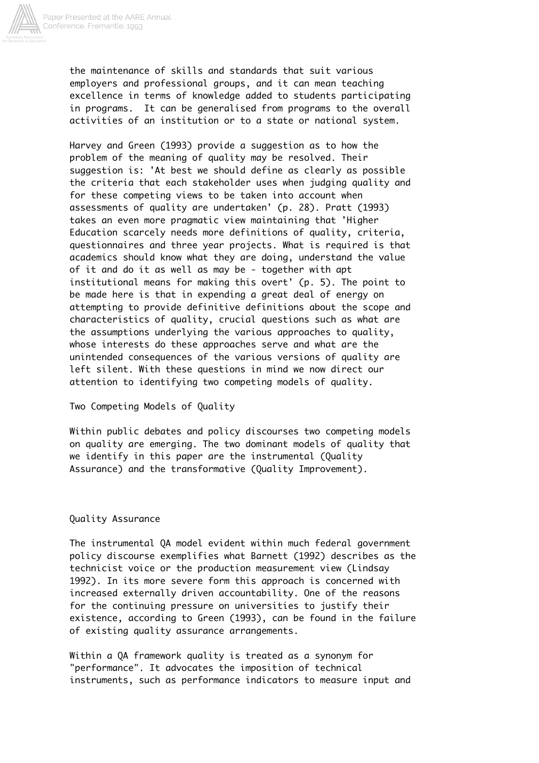

the maintenance of skills and standards that suit various employers and professional groups, and it can mean teaching excellence in terms of knowledge added to students participating in programs. It can be generalised from programs to the overall activities of an institution or to a state or national system.

Harvey and Green (1993) provide a suggestion as to how the problem of the meaning of quality may be resolved. Their suggestion is: 'At best we should define as clearly as possible the criteria that each stakeholder uses when judging quality and for these competing views to be taken into account when assessments of quality are undertaken' (p. 28). Pratt (1993) takes an even more pragmatic view maintaining that 'Higher Education scarcely needs more definitions of quality, criteria, questionnaires and three year projects. What is required is that academics should know what they are doing, understand the value of it and do it as well as may be - together with apt institutional means for making this overt' (p. 5). The point to be made here is that in expending a great deal of energy on attempting to provide definitive definitions about the scope and characteristics of quality, crucial questions such as what are the assumptions underlying the various approaches to quality, whose interests do these approaches serve and what are the unintended consequences of the various versions of quality are left silent. With these questions in mind we now direct our attention to identifying two competing models of quality.

Two Competing Models of Quality

Within public debates and policy discourses two competing models on quality are emerging. The two dominant models of quality that we identify in this paper are the instrumental (Quality Assurance) and the transformative (Quality Improvement).

## Quality Assurance

The instrumental QA model evident within much federal government policy discourse exemplifies what Barnett (1992) describes as the technicist voice or the production measurement view (Lindsay 1992). In its more severe form this approach is concerned with increased externally driven accountability. One of the reasons for the continuing pressure on universities to justify their existence, according to Green (1993), can be found in the failure of existing quality assurance arrangements.

Within a QA framework quality is treated as a synonym for "performance". It advocates the imposition of technical instruments, such as performance indicators to measure input and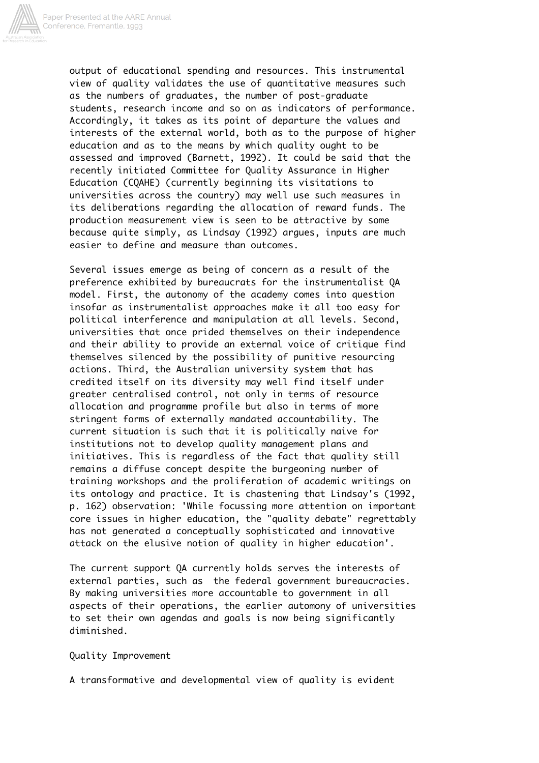

output of educational spending and resources. This instrumental view of quality validates the use of quantitative measures such as the numbers of graduates, the number of post-graduate students, research income and so on as indicators of performance. Accordingly, it takes as its point of departure the values and interests of the external world, both as to the purpose of higher education and as to the means by which quality ought to be assessed and improved (Barnett, 1992). It could be said that the recently initiated Committee for Quality Assurance in Higher Education (CQAHE) (currently beginning its visitations to universities across the country) may well use such measures in its deliberations regarding the allocation of reward funds. The production measurement view is seen to be attractive by some because quite simply, as Lindsay (1992) argues, inputs are much easier to define and measure than outcomes.

Several issues emerge as being of concern as a result of the preference exhibited by bureaucrats for the instrumentalist QA model. First, the autonomy of the academy comes into question insofar as instrumentalist approaches make it all too easy for political interference and manipulation at all levels. Second, universities that once prided themselves on their independence and their ability to provide an external voice of critique find themselves silenced by the possibility of punitive resourcing actions. Third, the Australian university system that has credited itself on its diversity may well find itself under greater centralised control, not only in terms of resource allocation and programme profile but also in terms of more stringent forms of externally mandated accountability. The current situation is such that it is politically naive for institutions not to develop quality management plans and initiatives. This is regardless of the fact that quality still remains a diffuse concept despite the burgeoning number of training workshops and the proliferation of academic writings on its ontology and practice. It is chastening that Lindsay's (1992, p. 162) observation: 'While focussing more attention on important core issues in higher education, the "quality debate" regrettably has not generated a conceptually sophisticated and innovative attack on the elusive notion of quality in higher education'.

The current support QA currently holds serves the interests of external parties, such as the federal government bureaucracies. By making universities more accountable to government in all aspects of their operations, the earlier automony of universities to set their own agendas and goals is now being significantly diminished.

Quality Improvement

A transformative and developmental view of quality is evident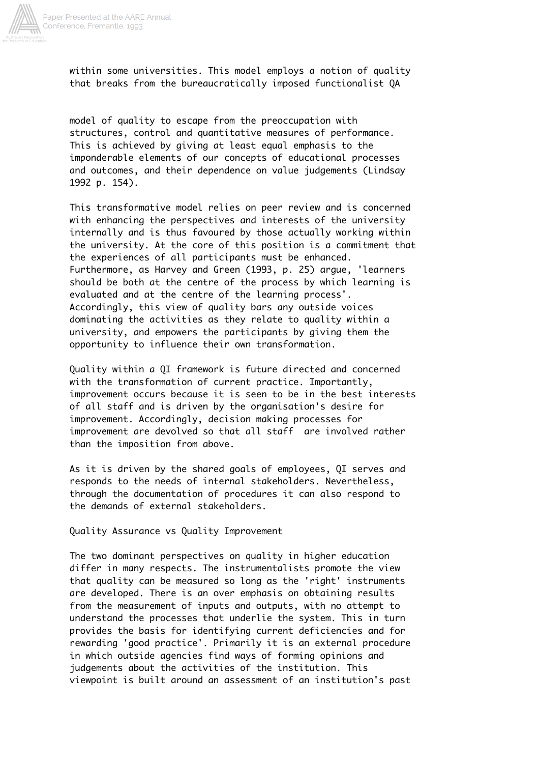

within some universities. This model employs a notion of quality that breaks from the bureaucratically imposed functionalist QA

model of quality to escape from the preoccupation with structures, control and quantitative measures of performance. This is achieved by giving at least equal emphasis to the imponderable elements of our concepts of educational processes and outcomes, and their dependence on value judgements (Lindsay 1992 p. 154).

This transformative model relies on peer review and is concerned with enhancing the perspectives and interests of the university internally and is thus favoured by those actually working within the university. At the core of this position is a commitment that the experiences of all participants must be enhanced. Furthermore, as Harvey and Green (1993, p. 25) argue, 'learners should be both at the centre of the process by which learning is evaluated and at the centre of the learning process'. Accordingly, this view of quality bars any outside voices dominating the activities as they relate to quality within a university, and empowers the participants by giving them the opportunity to influence their own transformation.

Quality within a QI framework is future directed and concerned with the transformation of current practice. Importantly, improvement occurs because it is seen to be in the best interests of all staff and is driven by the organisation's desire for improvement. Accordingly, decision making processes for improvement are devolved so that all staff are involved rather than the imposition from above.

As it is driven by the shared goals of employees, QI serves and responds to the needs of internal stakeholders. Nevertheless, through the documentation of procedures it can also respond to the demands of external stakeholders.

Quality Assurance vs Quality Improvement

The two dominant perspectives on quality in higher education differ in many respects. The instrumentalists promote the view that quality can be measured so long as the 'right' instruments are developed. There is an over emphasis on obtaining results from the measurement of inputs and outputs, with no attempt to understand the processes that underlie the system. This in turn provides the basis for identifying current deficiencies and for rewarding 'good practice'. Primarily it is an external procedure in which outside agencies find ways of forming opinions and judgements about the activities of the institution. This viewpoint is built around an assessment of an institution's past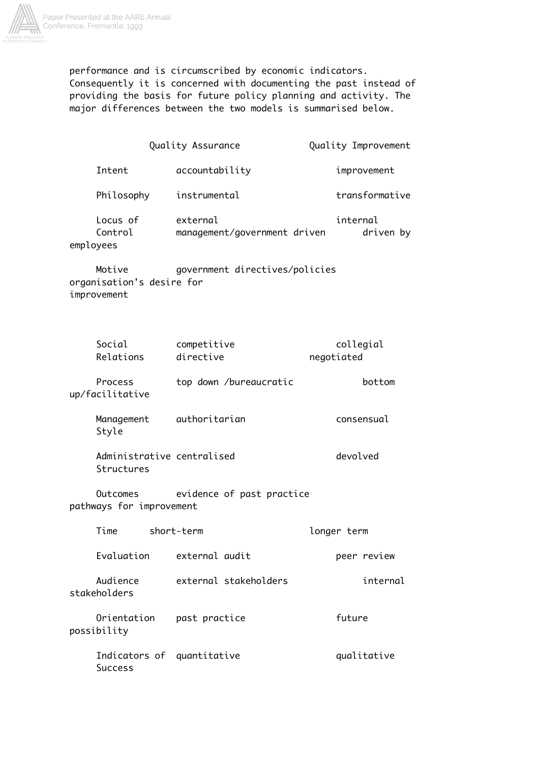

performance and is circumscribed by economic indicators. Consequently it is concerned with documenting the past instead of providing the basis for future policy planning and activity. The major differences between the two models is summarised below.

|                                                                                      |            | Quality Assurance                        |  |             |                | Quality Improvement   |
|--------------------------------------------------------------------------------------|------------|------------------------------------------|--|-------------|----------------|-----------------------|
| Intent                                                                               |            | accountability                           |  |             | improvement    |                       |
| Philosophy                                                                           |            | instrumental                             |  |             | transformative |                       |
| Locus of<br>Control<br>employees                                                     |            | external<br>management/government driven |  |             |                | internal<br>driven by |
| Motive<br>government directives/policies<br>organisation's desire for<br>improvement |            |                                          |  |             |                |                       |
| Social<br>Relations                                                                  |            | competitive<br>directive                 |  | negotiated  |                | collegial             |
| Process<br>up/facilitative                                                           |            | top down /bureaucratic                   |  |             |                | bottom                |
| Management<br>Style                                                                  |            | authoritarian                            |  |             | consensual     |                       |
| Administrative centralised<br>Structures                                             |            |                                          |  |             | devolved       |                       |
| evidence of past practice<br>Outcomes<br>pathways for improvement                    |            |                                          |  |             |                |                       |
| Time                                                                                 | short-term |                                          |  | longer term |                |                       |
| Evaluation                                                                           |            | external audit                           |  |             |                | peer review           |
| Audience<br>stakeholders                                                             |            | external stakeholders                    |  |             |                | internal              |
| Orientation<br>possibility                                                           |            | past practice                            |  |             | future         |                       |
| <b>Success</b>                                                                       |            | Indicators of quantitative               |  |             | qualitative    |                       |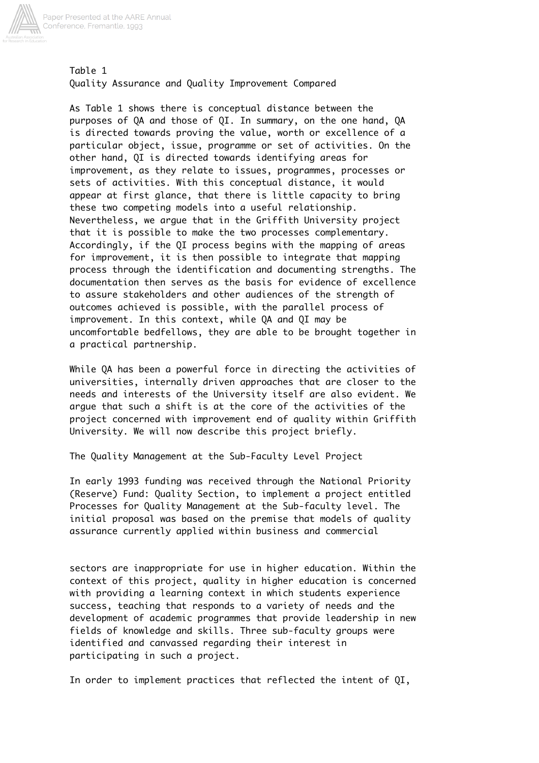

Table 1 Quality Assurance and Quality Improvement Compared

As Table 1 shows there is conceptual distance between the purposes of QA and those of QI. In summary, on the one hand, QA is directed towards proving the value, worth or excellence of a particular object, issue, programme or set of activities. On the other hand, QI is directed towards identifying areas for improvement, as they relate to issues, programmes, processes or sets of activities. With this conceptual distance, it would appear at first glance, that there is little capacity to bring these two competing models into a useful relationship. Nevertheless, we argue that in the Griffith University project that it is possible to make the two processes complementary. Accordingly, if the QI process begins with the mapping of areas for improvement, it is then possible to integrate that mapping process through the identification and documenting strengths. The documentation then serves as the basis for evidence of excellence to assure stakeholders and other audiences of the strength of outcomes achieved is possible, with the parallel process of improvement. In this context, while QA and QI may be uncomfortable bedfellows, they are able to be brought together in a practical partnership.

While QA has been a powerful force in directing the activities of universities, internally driven approaches that are closer to the needs and interests of the University itself are also evident. We argue that such a shift is at the core of the activities of the project concerned with improvement end of quality within Griffith University. We will now describe this project briefly.

The Quality Management at the Sub-Faculty Level Project

In early 1993 funding was received through the National Priority (Reserve) Fund: Quality Section, to implement a project entitled Processes for Quality Management at the Sub-faculty level. The initial proposal was based on the premise that models of quality assurance currently applied within business and commercial

sectors are inappropriate for use in higher education. Within the context of this project, quality in higher education is concerned with providing a learning context in which students experience success, teaching that responds to a variety of needs and the development of academic programmes that provide leadership in new fields of knowledge and skills. Three sub-faculty groups were identified and canvassed regarding their interest in participating in such a project.

In order to implement practices that reflected the intent of QI,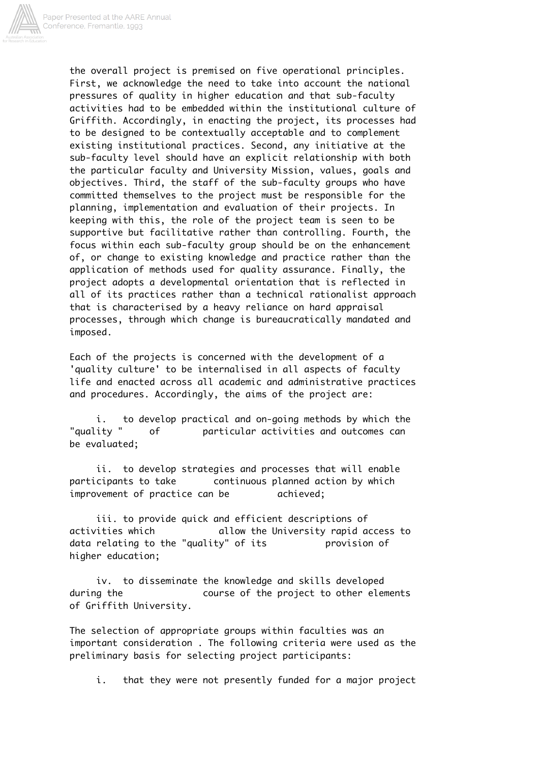

the overall project is premised on five operational principles. First, we acknowledge the need to take into account the national pressures of quality in higher education and that sub-faculty activities had to be embedded within the institutional culture of Griffith. Accordingly, in enacting the project, its processes had to be designed to be contextually acceptable and to complement existing institutional practices. Second, any initiative at the sub-faculty level should have an explicit relationship with both the particular faculty and University Mission, values, goals and objectives. Third, the staff of the sub-faculty groups who have committed themselves to the project must be responsible for the planning, implementation and evaluation of their projects. In keeping with this, the role of the project team is seen to be supportive but facilitative rather than controlling. Fourth, the focus within each sub-faculty group should be on the enhancement of, or change to existing knowledge and practice rather than the application of methods used for quality assurance. Finally, the project adopts a developmental orientation that is reflected in all of its practices rather than a technical rationalist approach that is characterised by a heavy reliance on hard appraisal processes, through which change is bureaucratically mandated and imposed.

Each of the projects is concerned with the development of a 'quality culture' to be internalised in all aspects of faculty life and enacted across all academic and administrative practices and procedures. Accordingly, the aims of the project are:

 i. to develop practical and on-going methods by which the "quality " of particular activities and outcomes can be evaluated;

 ii. to develop strategies and processes that will enable participants to take continuous planned action by which improvement of practice can be achieved;

 iii. to provide quick and efficient descriptions of activities which allow the University rapid access to data relating to the "quality" of its brovision of higher education;

 iv. to disseminate the knowledge and skills developed during the course of the project to other elements of Griffith University.

The selection of appropriate groups within faculties was an important consideration . The following criteria were used as the preliminary basis for selecting project participants:

i. that they were not presently funded for a major project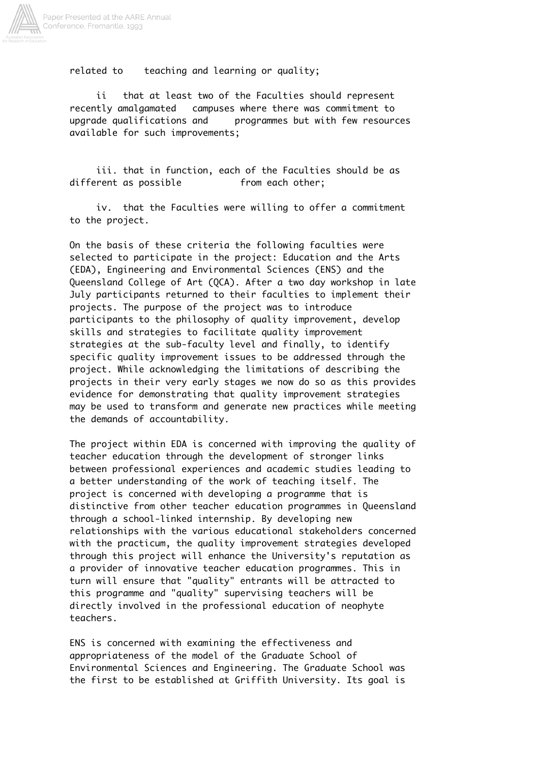

related to teaching and learning or quality;

 ii that at least two of the Faculties should represent recently amalgamated campuses where there was commitment to upgrade qualifications and programmes but with few resources available for such improvements;

 iii. that in function, each of the Faculties should be as different as possible from each other;

 iv. that the Faculties were willing to offer a commitment to the project.

On the basis of these criteria the following faculties were selected to participate in the project: Education and the Arts (EDA), Engineering and Environmental Sciences (ENS) and the Queensland College of Art (QCA). After a two day workshop in late July participants returned to their faculties to implement their projects. The purpose of the project was to introduce participants to the philosophy of quality improvement, develop skills and strategies to facilitate quality improvement strategies at the sub-faculty level and finally, to identify specific quality improvement issues to be addressed through the project. While acknowledging the limitations of describing the projects in their very early stages we now do so as this provides evidence for demonstrating that quality improvement strategies may be used to transform and generate new practices while meeting the demands of accountability.

The project within EDA is concerned with improving the quality of teacher education through the development of stronger links between professional experiences and academic studies leading to a better understanding of the work of teaching itself. The project is concerned with developing a programme that is distinctive from other teacher education programmes in Queensland through a school-linked internship. By developing new relationships with the various educational stakeholders concerned with the practicum, the quality improvement strategies developed through this project will enhance the University's reputation as a provider of innovative teacher education programmes. This in turn will ensure that "quality" entrants will be attracted to this programme and "quality" supervising teachers will be directly involved in the professional education of neophyte teachers.

ENS is concerned with examining the effectiveness and appropriateness of the model of the Graduate School of Environmental Sciences and Engineering. The Graduate School was the first to be established at Griffith University. Its goal is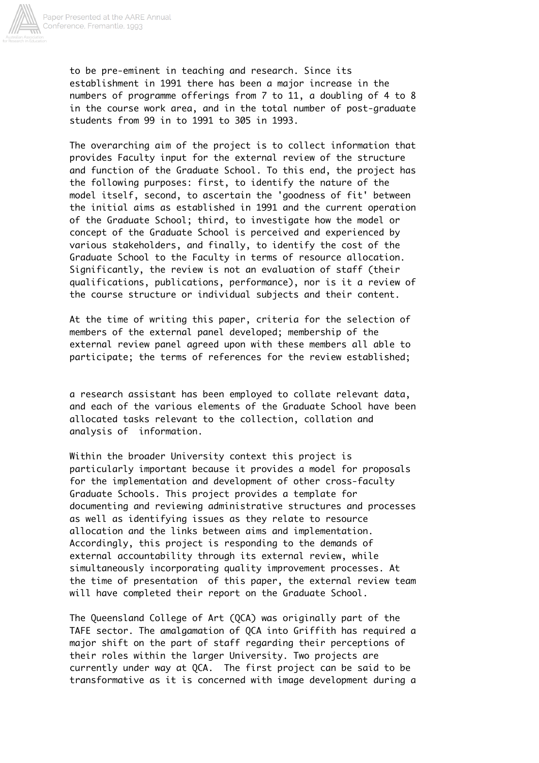

to be pre-eminent in teaching and research. Since its establishment in 1991 there has been a major increase in the numbers of programme offerings from 7 to 11, a doubling of 4 to 8 in the course work area, and in the total number of post-graduate students from 99 in to 1991 to 305 in 1993.

The overarching aim of the project is to collect information that provides Faculty input for the external review of the structure and function of the Graduate School. To this end, the project has the following purposes: first, to identify the nature of the model itself, second, to ascertain the 'goodness of fit' between the initial aims as established in 1991 and the current operation of the Graduate School; third, to investigate how the model or concept of the Graduate School is perceived and experienced by various stakeholders, and finally, to identify the cost of the Graduate School to the Faculty in terms of resource allocation. Significantly, the review is not an evaluation of staff (their qualifications, publications, performance), nor is it a review of the course structure or individual subjects and their content.

At the time of writing this paper, criteria for the selection of members of the external panel developed; membership of the external review panel agreed upon with these members all able to participate; the terms of references for the review established;

a research assistant has been employed to collate relevant data, and each of the various elements of the Graduate School have been allocated tasks relevant to the collection, collation and analysis of information.

Within the broader University context this project is particularly important because it provides a model for proposals for the implementation and development of other cross-faculty Graduate Schools. This project provides a template for documenting and reviewing administrative structures and processes as well as identifying issues as they relate to resource allocation and the links between aims and implementation. Accordingly, this project is responding to the demands of external accountability through its external review, while simultaneously incorporating quality improvement processes. At the time of presentation of this paper, the external review team will have completed their report on the Graduate School.

The Queensland College of Art (QCA) was originally part of the TAFE sector. The amalgamation of QCA into Griffith has required a major shift on the part of staff regarding their perceptions of their roles within the larger University. Two projects are currently under way at QCA. The first project can be said to be transformative as it is concerned with image development during a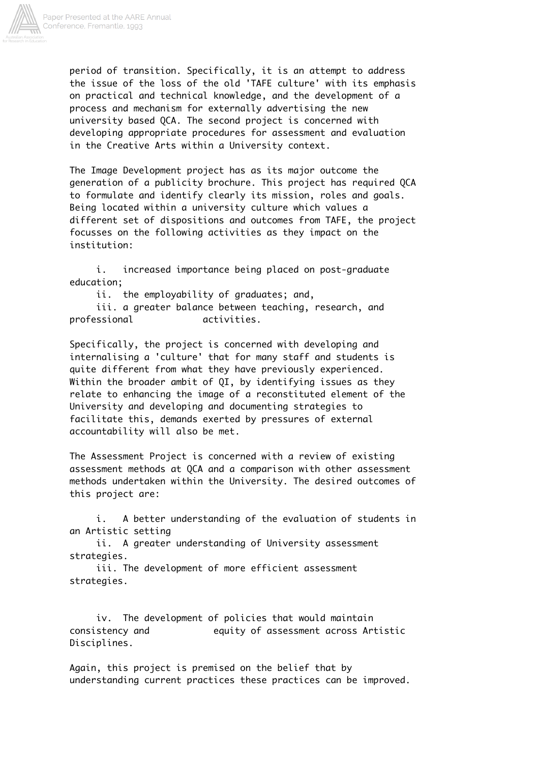

period of transition. Specifically, it is an attempt to address the issue of the loss of the old 'TAFE culture' with its emphasis on practical and technical knowledge, and the development of a process and mechanism for externally advertising the new university based QCA. The second project is concerned with developing appropriate procedures for assessment and evaluation in the Creative Arts within a University context.

The Image Development project has as its major outcome the generation of a publicity brochure. This project has required QCA to formulate and identify clearly its mission, roles and goals. Being located within a university culture which values a different set of dispositions and outcomes from TAFE, the project focusses on the following activities as they impact on the institution:

 i. increased importance being placed on post-graduate education;

ii. the employability of graduates; and,

 iii. a greater balance between teaching, research, and professional activities.

Specifically, the project is concerned with developing and internalising a 'culture' that for many staff and students is quite different from what they have previously experienced. Within the broader ambit of QI, by identifying issues as they relate to enhancing the image of a reconstituted element of the University and developing and documenting strategies to facilitate this, demands exerted by pressures of external accountability will also be met.

The Assessment Project is concerned with a review of existing assessment methods at QCA and a comparison with other assessment methods undertaken within the University. The desired outcomes of this project are:

 i. A better understanding of the evaluation of students in an Artistic setting

 ii. A greater understanding of University assessment strategies.

 iii. The development of more efficient assessment strategies.

 iv. The development of policies that would maintain consistency and equity of assessment across Artistic Disciplines.

Again, this project is premised on the belief that by understanding current practices these practices can be improved.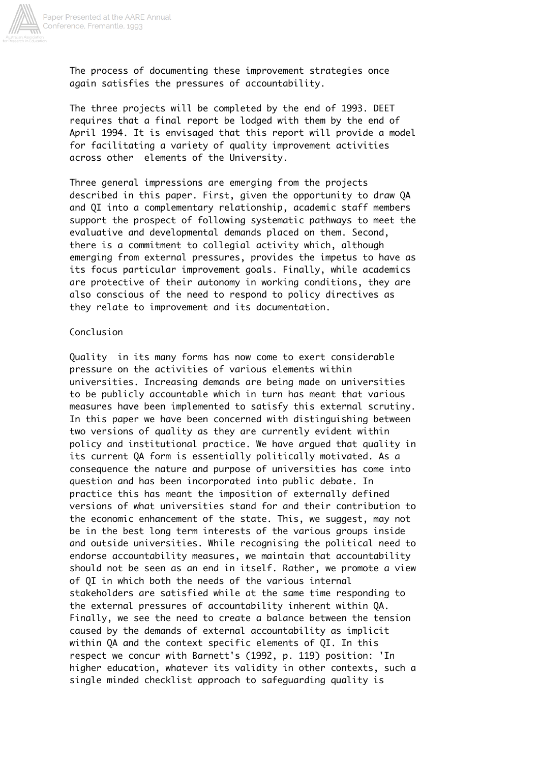

The process of documenting these improvement strategies once again satisfies the pressures of accountability.

The three projects will be completed by the end of 1993. DEET requires that a final report be lodged with them by the end of April 1994. It is envisaged that this report will provide a model for facilitating a variety of quality improvement activities across other elements of the University.

Three general impressions are emerging from the projects described in this paper. First, given the opportunity to draw QA and QI into a complementary relationship, academic staff members support the prospect of following systematic pathways to meet the evaluative and developmental demands placed on them. Second, there is a commitment to collegial activity which, although emerging from external pressures, provides the impetus to have as its focus particular improvement goals. Finally, while academics are protective of their autonomy in working conditions, they are also conscious of the need to respond to policy directives as they relate to improvement and its documentation.

## Conclusion

Quality in its many forms has now come to exert considerable pressure on the activities of various elements within universities. Increasing demands are being made on universities to be publicly accountable which in turn has meant that various measures have been implemented to satisfy this external scrutiny. In this paper we have been concerned with distinguishing between two versions of quality as they are currently evident within policy and institutional practice. We have argued that quality in its current QA form is essentially politically motivated. As a consequence the nature and purpose of universities has come into question and has been incorporated into public debate. In practice this has meant the imposition of externally defined versions of what universities stand for and their contribution to the economic enhancement of the state. This, we suggest, may not be in the best long term interests of the various groups inside and outside universities. While recognising the political need to endorse accountability measures, we maintain that accountability should not be seen as an end in itself. Rather, we promote a view of QI in which both the needs of the various internal stakeholders are satisfied while at the same time responding to the external pressures of accountability inherent within QA. Finally, we see the need to create a balance between the tension caused by the demands of external accountability as implicit within QA and the context specific elements of QI. In this respect we concur with Barnett's (1992, p. 119) position: 'In higher education, whatever its validity in other contexts, such a single minded checklist approach to safeguarding quality is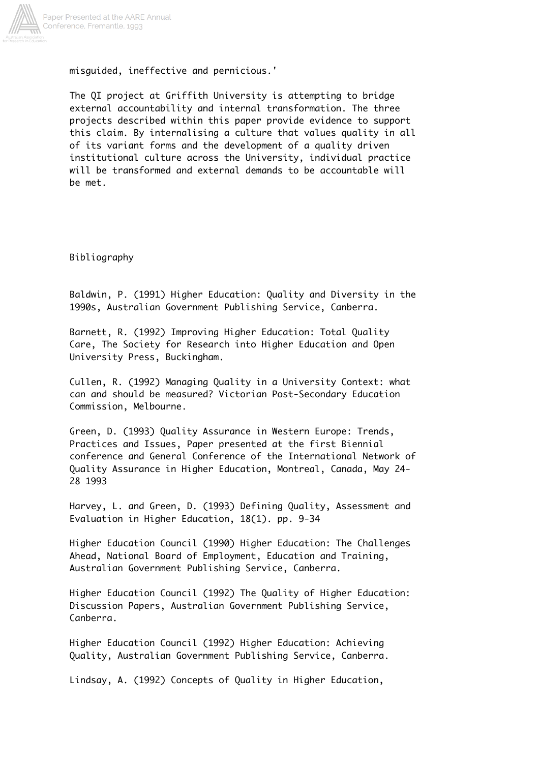

misguided, ineffective and pernicious.'

The QI project at Griffith University is attempting to bridge external accountability and internal transformation. The three projects described within this paper provide evidence to support this claim. By internalising a culture that values quality in all of its variant forms and the development of a quality driven institutional culture across the University, individual practice will be transformed and external demands to be accountable will be met.

Bibliography

Baldwin, P. (1991) Higher Education: Quality and Diversity in the 1990s, Australian Government Publishing Service, Canberra.

Barnett, R. (1992) Improving Higher Education: Total Quality Care, The Society for Research into Higher Education and Open University Press, Buckingham.

Cullen, R. (1992) Managing Quality in a University Context: what can and should be measured? Victorian Post-Secondary Education Commission, Melbourne.

Green, D. (1993) Quality Assurance in Western Europe: Trends, Practices and Issues, Paper presented at the first Biennial conference and General Conference of the International Network of Quality Assurance in Higher Education, Montreal, Canada, May 24- 28 1993

Harvey, L. and Green, D. (1993) Defining Quality, Assessment and Evaluation in Higher Education, 18(1). pp. 9-34

Higher Education Council (1990) Higher Education: The Challenges Ahead, National Board of Employment, Education and Training, Australian Government Publishing Service, Canberra.

Higher Education Council (1992) The Quality of Higher Education: Discussion Papers, Australian Government Publishing Service, Canberra.

Higher Education Council (1992) Higher Education: Achieving Quality, Australian Government Publishing Service, Canberra.

Lindsay, A. (1992) Concepts of Quality in Higher Education,